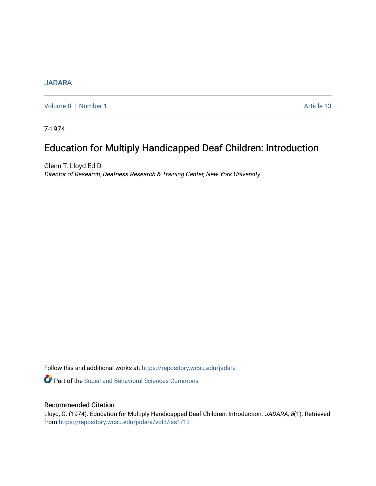## [JADARA](https://repository.wcsu.edu/jadara)

[Volume 8](https://repository.wcsu.edu/jadara/vol8) | [Number 1](https://repository.wcsu.edu/jadara/vol8/iss1) Article 13

7-1974

# Education for Multiply Handicapped Deaf Children: Introduction

Glenn T. Lloyd Ed.D. Director of Research, Deafness Research & Training Center, New York University

Follow this and additional works at: [https://repository.wcsu.edu/jadara](https://repository.wcsu.edu/jadara?utm_source=repository.wcsu.edu%2Fjadara%2Fvol8%2Fiss1%2F13&utm_medium=PDF&utm_campaign=PDFCoverPages)

**Part of the Social and Behavioral Sciences Commons** 

#### Recommended Citation

Lloyd, G. (1974). Education for Multiply Handicapped Deaf Children: Introduction. JADARA, 8(1). Retrieved from [https://repository.wcsu.edu/jadara/vol8/iss1/13](https://repository.wcsu.edu/jadara/vol8/iss1/13?utm_source=repository.wcsu.edu%2Fjadara%2Fvol8%2Fiss1%2F13&utm_medium=PDF&utm_campaign=PDFCoverPages)